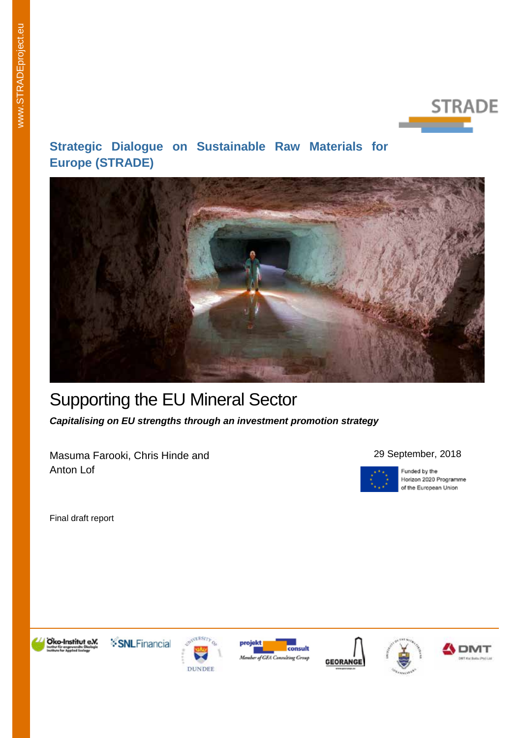

# **Strategic Dialogue on Sustainable Raw Materials for Europe (STRADE)**



# Supporting the EU Mineral Sector

*Capitalising on EU strengths through an investment promotion strategy*

Masuma Farooki, Chris Hinde and Anton Lof

#### 29 September, 2018



Funded by the Horizon 2020 Programme of the European Union

Final draft report













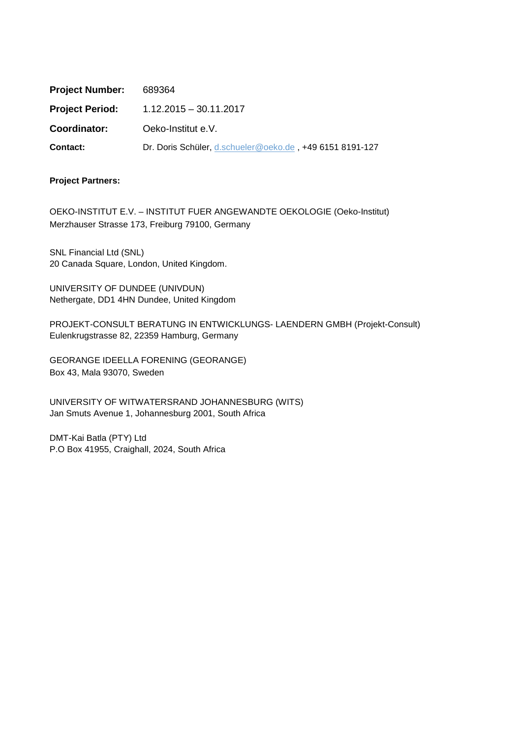| <b>Project Number:</b> | 689364                                                   |
|------------------------|----------------------------------------------------------|
| <b>Project Period:</b> | $1.12.2015 - 30.11.2017$                                 |
| Coordinator:           | Oeko-Institut e.V.                                       |
| Contact:               | Dr. Doris Schüler, d.schueler@oeko.de, +49 6151 8191-127 |

#### **Project Partners:**

OEKO-INSTITUT E.V. – INSTITUT FUER ANGEWANDTE OEKOLOGIE (Oeko-Institut) Merzhauser Strasse 173, Freiburg 79100, Germany

SNL Financial Ltd (SNL) 20 Canada Square, London, United Kingdom.

UNIVERSITY OF DUNDEE (UNIVDUN) Nethergate, DD1 4HN Dundee, United Kingdom

PROJEKT-CONSULT BERATUNG IN ENTWICKLUNGS- LAENDERN GMBH (Projekt-Consult) Eulenkrugstrasse 82, 22359 Hamburg, Germany

GEORANGE IDEELLA FORENING (GEORANGE) Box 43, Mala 93070, Sweden

UNIVERSITY OF WITWATERSRAND JOHANNESBURG (WITS) Jan Smuts Avenue 1, Johannesburg 2001, South Africa

DMT-Kai Batla (PTY) Ltd P.O Box 41955, Craighall, 2024, South Africa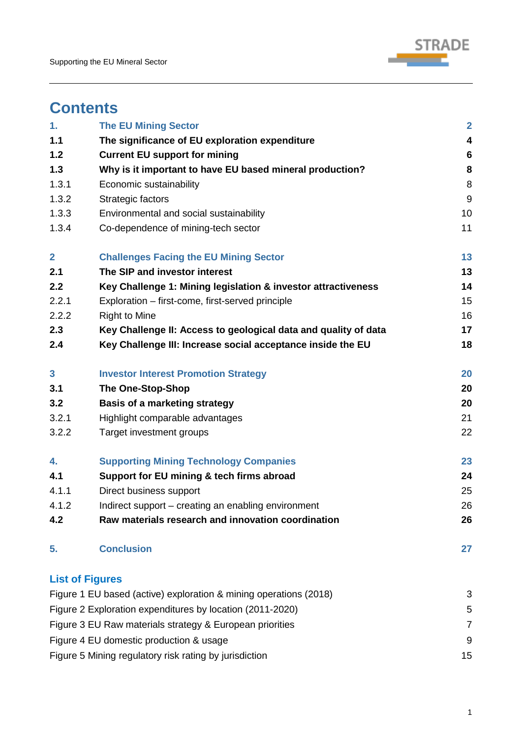

# **Contents**

| 1.           | <b>The EU Mining Sector</b>                                       | $\overline{\mathbf{2}}$ |
|--------------|-------------------------------------------------------------------|-------------------------|
| 1.1          | The significance of EU exploration expenditure                    | $\overline{\mathbf{4}}$ |
| $1.2$        | <b>Current EU support for mining</b>                              | $6\phantom{1}6$         |
| 1.3          | Why is it important to have EU based mineral production?          | 8                       |
| 1.3.1        | Economic sustainability                                           | 8                       |
| 1.3.2        | Strategic factors                                                 | 9                       |
| 1.3.3        | Environmental and social sustainability                           | 10                      |
| 1.3.4        | Co-dependence of mining-tech sector                               | 11                      |
| $\mathbf{2}$ | <b>Challenges Facing the EU Mining Sector</b>                     | 13                      |
| 2.1          | The SIP and investor interest                                     | 13                      |
| 2.2          | Key Challenge 1: Mining legislation & investor attractiveness     | 14                      |
| 2.2.1        | Exploration – first-come, first-served principle                  | 15                      |
| 2.2.2        | <b>Right to Mine</b>                                              | 16                      |
| 2.3          | Key Challenge II: Access to geological data and quality of data   | 17                      |
| 2.4          | Key Challenge III: Increase social acceptance inside the EU       | 18                      |
| $\mathbf{3}$ | <b>Investor Interest Promotion Strategy</b>                       | 20                      |
| 3.1          | <b>The One-Stop-Shop</b>                                          | 20                      |
| 3.2          | <b>Basis of a marketing strategy</b>                              | 20                      |
| 3.2.1        | Highlight comparable advantages                                   | 21                      |
| 3.2.2        | Target investment groups                                          | 22                      |
| 4.           | <b>Supporting Mining Technology Companies</b>                     | 23                      |
| 4.1          | Support for EU mining & tech firms abroad                         | 24                      |
| 4.1.1        | Direct business support                                           | 25                      |
| 4.1.2        | Indirect support – creating an enabling environment               | 26                      |
| 4.2          | Raw materials research and innovation coordination                | 26                      |
| 5.           | <b>Conclusion</b>                                                 | 27                      |
|              | <b>List of Figures</b>                                            |                         |
|              | Figure 1 EU based (active) exploration & mining operations (2018) | 3                       |
|              | Figure 2 Exploration expenditures by location (2011-2020)         | 5                       |
|              | Figure 3 EU Raw materials strategy & European priorities          | $\overline{7}$          |
|              | Figure 4 EU domestic production & usage                           | 9                       |
|              | Figure 5 Mining regulatory risk rating by jurisdiction            | 15                      |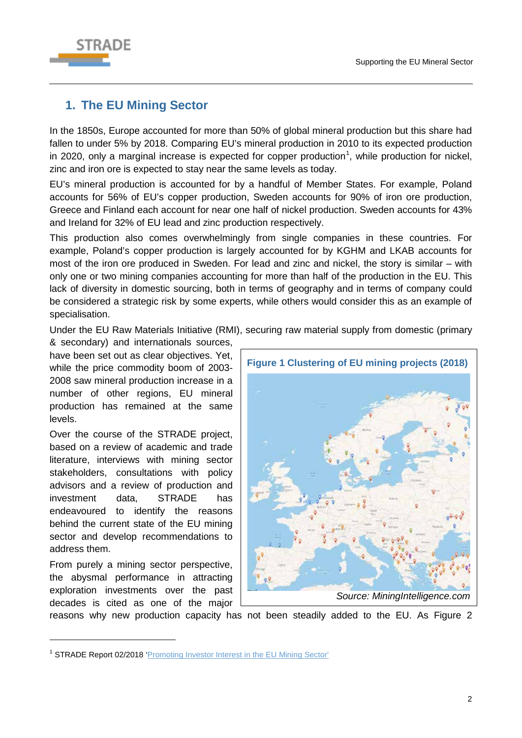

# <span id="page-5-0"></span>**1. The EU Mining Sector**

In the 1850s, Europe accounted for more than 50% of global mineral production but this share had fallen to under 5% by 2018. Comparing EU's mineral production in 2010 to its expected production in 2020, only a marginal increase is expected for copper production<sup>[1](#page-5-1)</sup>, while production for nickel, zinc and iron ore is expected to stay near the same levels as today.

EU's mineral production is accounted for by a handful of Member States. For example, Poland accounts for 56% of EU's copper production, Sweden accounts for 90% of iron ore production, Greece and Finland each account for near one half of nickel production. Sweden accounts for 43% and Ireland for 32% of EU lead and zinc production respectively.

This production also comes overwhelmingly from single companies in these countries. For example, Poland's copper production is largely accounted for by KGHM and LKAB accounts for most of the iron ore produced in Sweden. For lead and zinc and nickel, the story is similar – with only one or two mining companies accounting for more than half of the production in the EU. This lack of diversity in domestic sourcing, both in terms of geography and in terms of company could be considered a strategic risk by some experts, while others would consider this as an example of specialisation.

Under the EU Raw Materials Initiative (RMI), securing raw material supply from domestic (primary

& secondary) and internationals sources, have been set out as clear objectives. Yet, while the price commodity boom of 2003- 2008 saw mineral production increase in a number of other regions, EU mineral production has remained at the same levels.

Over the course of the STRADE project, based on a review of academic and trade literature, interviews with mining sector stakeholders, consultations with policy advisors and a review of production and investment data, STRADE has endeavoured to identify the reasons behind the current state of the EU mining sector and develop recommendations to address them.

From purely a mining sector perspective, the abysmal performance in attracting exploration investments over the past decades is cited as one of the major

-



reasons why new production capacity has not been steadily added to the EU. As [Figure 2](#page-6-0)

<span id="page-5-1"></span><sup>&</sup>lt;sup>1</sup> STRADE Report 02/2018 ['Promoting Investor Interest in the EU Mining Sector'](http://stradeproject.eu/fileadmin/user_upload/pdf/STRADE_Report_02_2018_Promoting_Mining_in_the_EU.pdf)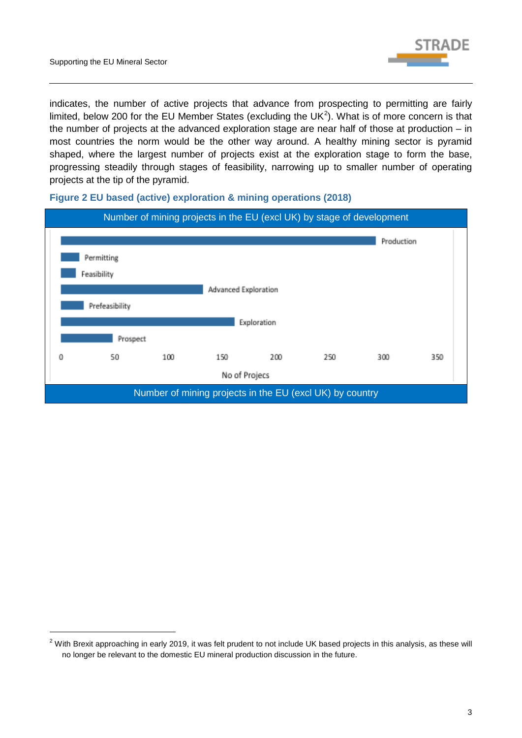-



indicates, the number of active projects that advance from prospecting to permitting are fairly limited, below [2](#page-6-1)00 for the EU Member States (excluding the UK<sup>2</sup>). What is of more concern is that the number of projects at the advanced exploration stage are near half of those at production – in most countries the norm would be the other way around. A healthy mining sector is pyramid shaped, where the largest number of projects exist at the exploration stage to form the base, progressing steadily through stages of feasibility, narrowing up to smaller number of operating projects at the tip of the pyramid.



#### <span id="page-6-0"></span>**Figure 2 EU based (active) exploration & mining operations (2018)**

<span id="page-6-1"></span> $2$  With Brexit approaching in early 2019, it was felt prudent to not include UK based projects in this analysis, as these will no longer be relevant to the domestic EU mineral production discussion in the future.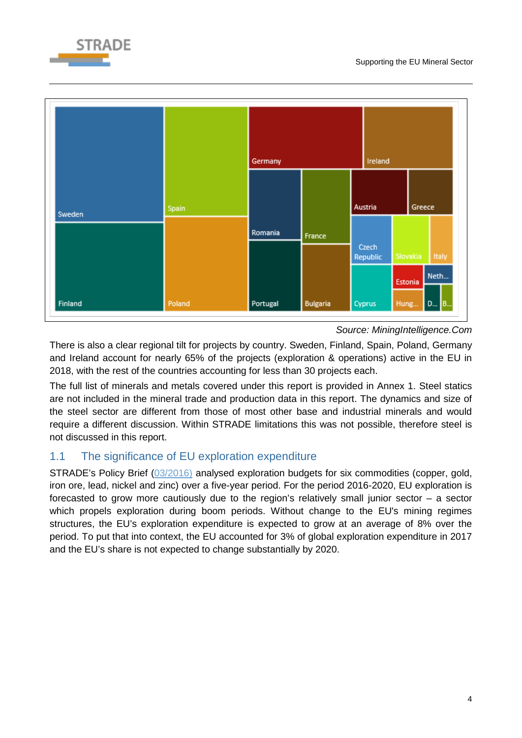





*Source: MiningIntelligence.Com*

There is also a clear regional tilt for projects by country. Sweden, Finland, Spain, Poland, Germany and Ireland account for nearly 65% of the projects (exploration & operations) active in the EU in 2018, with the rest of the countries accounting for less than 30 projects each.

The full list of minerals and metals covered under this report is provided in Annex 1. Steel statics are not included in the mineral trade and production data in this report. The dynamics and size of the steel sector are different from those of most other base and industrial minerals and would require a different discussion. Within STRADE limitations this was not possible, therefore steel is not discussed in this report.

# <span id="page-7-0"></span>1.1 The significance of EU exploration expenditure

STRADE's Policy Brief [\(03/2016\)](http://stradeproject.eu/fileadmin/user_upload/pdf/PolicyBrief_03-2016_Aug2016_FINAL.pdf) analysed exploration budgets for six commodities (copper, gold, iron ore, lead, nickel and zinc) over a five-year period. For the period 2016-2020, EU exploration is forecasted to grow more cautiously due to the region's relatively small junior sector  $-$  a sector which propels exploration during boom periods. Without change to the EU's mining regimes structures, the EU's exploration expenditure is expected to grow at an average of 8% over the period. To put that into context, the EU accounted for 3% of global exploration expenditure in 2017 and the EU's share is not expected to change substantially by 2020.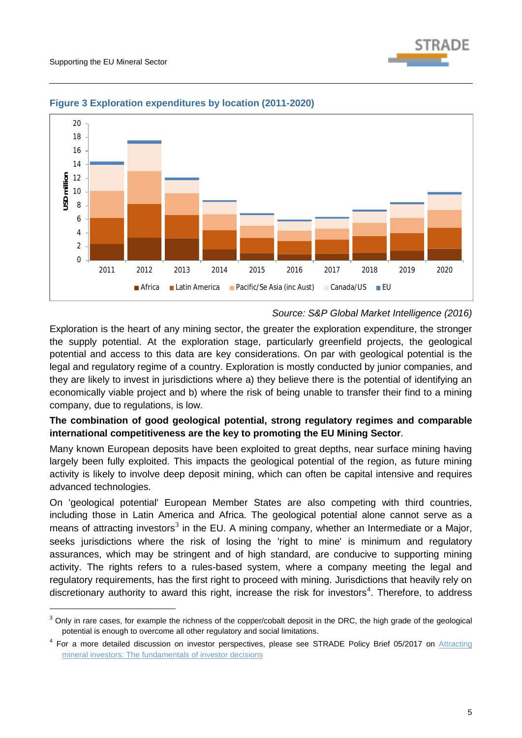-



#### <span id="page-8-0"></span>**Figure 3 Exploration expenditures by location (2011-2020)**

#### *Source: S&P Global Market Intelligence (2016)*

Exploration is the heart of any mining sector, the greater the exploration expenditure, the stronger the supply potential. At the exploration stage, particularly greenfield projects, the geological potential and access to this data are key considerations. On par with geological potential is the legal and regulatory regime of a country. Exploration is mostly conducted by junior companies, and they are likely to invest in jurisdictions where a) they believe there is the potential of identifying an economically viable project and b) where the risk of being unable to transfer their find to a mining company, due to regulations, is low.

### **The combination of good geological potential, strong regulatory regimes and comparable international competitiveness are the key to promoting the EU Mining Sector**.

Many known European deposits have been exploited to great depths, near surface mining having largely been fully exploited. This impacts the geological potential of the region, as future mining activity is likely to involve deep deposit mining, which can often be capital intensive and requires advanced technologies.

On 'geological potential' European Member States are also competing with third countries, including those in Latin America and Africa. The geological potential alone cannot serve as a means of attracting investors<sup>[3](#page-8-1)</sup> in the EU. A mining company, whether an Intermediate or a Major, seeks jurisdictions where the risk of losing the 'right to mine' is minimum and regulatory assurances, which may be stringent and of high standard, are conducive to supporting mining activity. The rights refers to a rules-based system, where a company meeting the legal and regulatory requirements, has the first right to proceed with mining. Jurisdictions that heavily rely on discretionary authority to award this right, increase the risk for investors<sup>[4](#page-8-2)</sup>. Therefore, to address

<span id="page-8-1"></span> $3$  Only in rare cases, for example the richness of the copper/cobalt deposit in the DRC, the high grade of the geological potential is enough to overcome all other regulatory and social limitations.

<span id="page-8-2"></span><sup>&</sup>lt;sup>4</sup> For a more detailed discussion on investor perspectives, please see STRADE Policy Brief 05/2017 on Attracting [mineral investors: The fundamentals of investor decisions](http://stradeproject.eu/fileadmin/user_upload/pdf/STRADE_PB05-2017_D2-5_AttractMinInvestors-FundamentalsInvestDecisions_May2017_FINAL.pdf)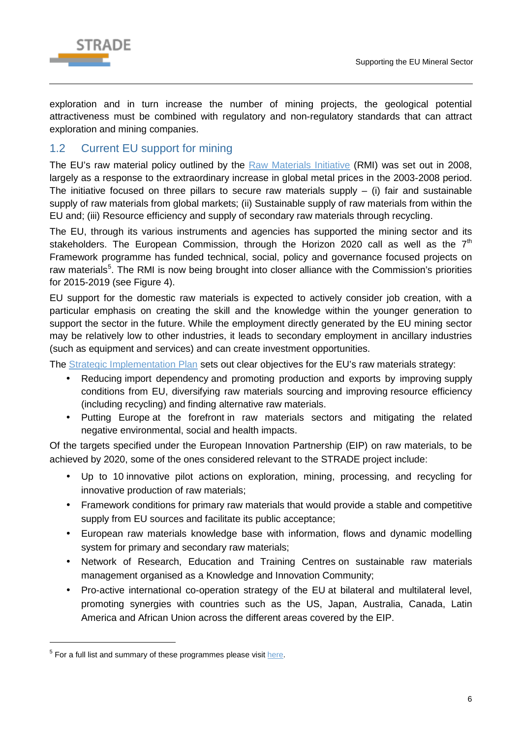

exploration and in turn increase the number of mining projects, the geological potential attractiveness must be combined with regulatory and non-regulatory standards that can attract exploration and mining companies.

# <span id="page-9-0"></span>1.2 Current EU support for mining

The EU's raw material policy outlined by the [Raw Materials Initiative](https://ec.europa.eu/growth/sectors/raw-materials/policy-strategy_en) (RMI) was set out in 2008. largely as a response to the extraordinary increase in global metal prices in the 2003-2008 period. The initiative focused on three pillars to secure raw materials supply  $-$  (i) fair and sustainable supply of raw materials from global markets; (ii) Sustainable supply of raw materials from within the EU and; (iii) Resource efficiency and supply of secondary raw materials through recycling.

The EU, through its various instruments and agencies has supported the mining sector and its stakeholders. The European Commission, through the Horizon 2020 call as well as the  $7<sup>th</sup>$ Framework programme has funded technical, social, policy and governance focused projects on raw materials<sup>[5](#page-9-1)</sup>. The RMI is now being brought into closer alliance with the Commission's priorities for 2015-2019 (see [Figure 4\)](#page-10-0).

EU support for the domestic raw materials is expected to actively consider job creation, with a particular emphasis on creating the skill and the knowledge within the younger generation to support the sector in the future. While the employment directly generated by the EU mining sector may be relatively low to other industries, it leads to secondary employment in ancillary industries (such as equipment and services) and can create investment opportunities.

The [Strategic Implementation Plan](https://ec.europa.eu/growth/tools-databases/eip-raw-materials/en/content/strategic-implementation-plan-sip-0) sets out clear objectives for the EU's raw materials strategy:

- Reducing import dependency and promoting production and exports by improving supply  $\mathbf{r}$ conditions from EU, diversifying raw materials sourcing and improving resource efficiency (including recycling) and finding alternative raw materials.
- Putting Europe at the forefront in raw materials sectors and mitigating the related  $\mathcal{L}^{\text{max}}$ negative environmental, social and health impacts.

Of the targets specified under the European Innovation Partnership (EIP) on raw materials, to be achieved by 2020, some of the ones considered relevant to the STRADE project include:

- Up to 10 innovative pilot actions on exploration, mining, processing, and recycling for  $\mathbf{r}$ innovative production of raw materials;
- $\mathcal{L}^{\text{max}}$ Framework conditions for primary raw materials that would provide a stable and competitive supply from EU sources and facilitate its public acceptance;
- European raw materials knowledge base with information, flows and dynamic modelling  $\mathcal{L}^{\mathcal{L}}$ system for primary and secondary raw materials;
- Network of Research, Education and Training Centres on sustainable raw materials  $\mathbf{r}$ management organised as a Knowledge and Innovation Community;
- Pro-active international co-operation strategy of the EU at bilateral and multilateral level, promoting synergies with countries such as the US, Japan, Australia, Canada, Latin America and African Union across the different areas covered by the EIP.

-

<span id="page-9-1"></span> $5$  For a full list and summary of these programmes please visit [here.](https://cordis.europa.eu/projects/result_en?q=%27mineral%27%20AND%20(contenttype%3D%27project%27%20OR%20/result/relations/categories/resultCategory/code%3D%27brief%27,%27report%27))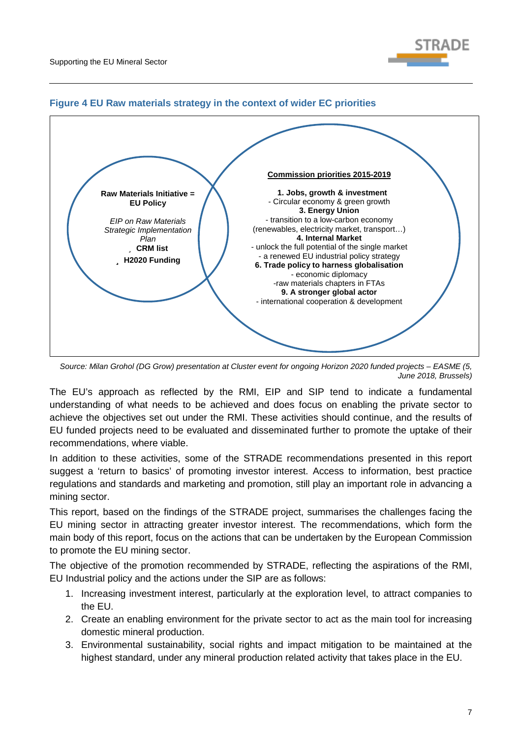



### <span id="page-10-0"></span>**Figure 4 EU Raw materials strategy in the context of wider EC priorities**

*Source: Milan Grohol (DG Grow) presentation at Cluster event for ongoing Horizon 2020 funded projects – EASME (5, June 2018, Brussels)*

The EU's approach as reflected by the RMI, EIP and SIP tend to indicate a fundamental understanding of what needs to be achieved and does focus on enabling the private sector to achieve the objectives set out under the RMI. These activities should continue, and the results of EU funded projects need to be evaluated and disseminated further to promote the uptake of their recommendations, where viable.

In addition to these activities, some of the STRADE recommendations presented in this report suggest a 'return to basics' of promoting investor interest. Access to information, best practice regulations and standards and marketing and promotion, still play an important role in advancing a mining sector.

This report, based on the findings of the STRADE project, summarises the challenges facing the EU mining sector in attracting greater investor interest. The recommendations, which form the main body of this report, focus on the actions that can be undertaken by the European Commission to promote the EU mining sector.

The objective of the promotion recommended by STRADE, reflecting the aspirations of the RMI, EU Industrial policy and the actions under the SIP are as follows:

- 1. Increasing investment interest, particularly at the exploration level, to attract companies to the EU.
- 2. Create an enabling environment for the private sector to act as the main tool for increasing domestic mineral production.
- 3. Environmental sustainability, social rights and impact mitigation to be maintained at the highest standard, under any mineral production related activity that takes place in the EU.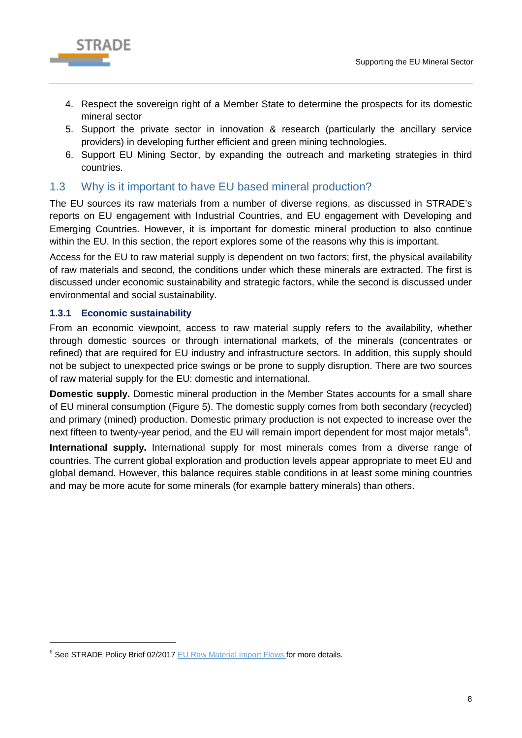

- 4. Respect the sovereign right of a Member State to determine the prospects for its domestic mineral sector
- 5. Support the private sector in innovation & research (particularly the ancillary service providers) in developing further efficient and green mining technologies.
- 6. Support EU Mining Sector, by expanding the outreach and marketing strategies in third countries.

# <span id="page-11-0"></span>1.3 Why is it important to have EU based mineral production?

The EU sources its raw materials from a number of diverse regions, as discussed in STRADE's reports on EU engagement with Industrial Countries, and EU engagement with Developing and Emerging Countries. However, it is important for domestic mineral production to also continue within the EU. In this section, the report explores some of the reasons why this is important.

Access for the EU to raw material supply is dependent on two factors; first, the physical availability of raw materials and second, the conditions under which these minerals are extracted. The first is discussed under economic sustainability and strategic factors, while the second is discussed under environmental and social sustainability.

### <span id="page-11-1"></span>**1.3.1 Economic sustainability**

-

From an economic viewpoint, access to raw material supply refers to the availability, whether through domestic sources or through international markets, of the minerals (concentrates or refined) that are required for EU industry and infrastructure sectors. In addition, this supply should not be subject to unexpected price swings or be prone to supply disruption. There are two sources of raw material supply for the EU: domestic and international.

**Domestic supply.** Domestic mineral production in the Member States accounts for a small share of EU mineral consumption [\(Figure 5\)](#page-12-1). The domestic supply comes from both secondary (recycled) and primary (mined) production. Domestic primary production is not expected to increase over the next fifteen to twenty-year period, and the EU will remain import dependent for most major metals $6$ .

**International supply.** International supply for most minerals comes from a diverse range of countries. The current global exploration and production levels appear appropriate to meet EU and global demand. However, this balance requires stable conditions in at least some mining countries and may be more acute for some minerals (for example battery minerals) than others.

<span id="page-11-2"></span><sup>&</sup>lt;sup>6</sup> See STRADE Policy Brief 02/2017 [EU Raw Material Import Flows](http://stradeproject.eu/fileadmin/user_upload/pdf/STRADEPolBrf_02-2017_RawMaterialFlows_Mar2017_FINAL.pdf) for more details.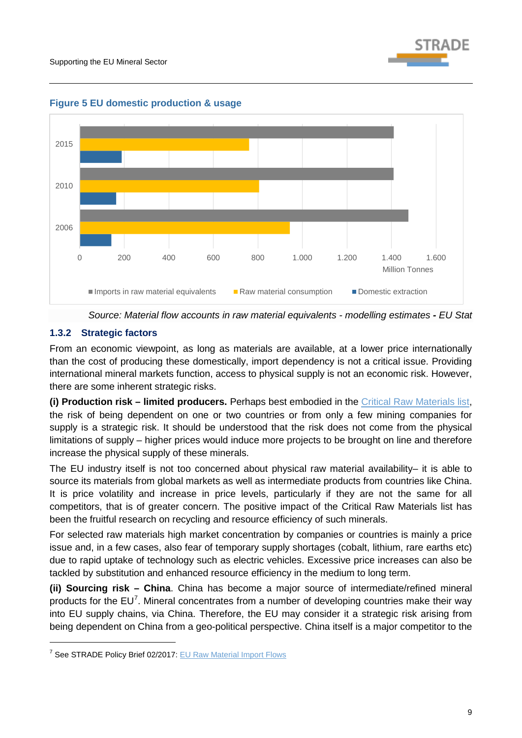



<span id="page-12-1"></span>**Figure 5 EU domestic production & usage**



## <span id="page-12-0"></span>**1.3.2 Strategic factors**

-

From an economic viewpoint, as long as materials are available, at a lower price internationally than the cost of producing these domestically, import dependency is not a critical issue. Providing international mineral markets function, access to physical supply is not an economic risk. However, there are some inherent strategic risks.

**(i) Production risk – limited producers.** Perhaps best embodied in the [Critical Raw Materials list,](http://ec.europa.eu/growth/sectors/raw-materials/specific-interest/critical_en) the risk of being dependent on one or two countries or from only a few mining companies for supply is a strategic risk. It should be understood that the risk does not come from the physical limitations of supply – higher prices would induce more projects to be brought on line and therefore increase the physical supply of these minerals.

The EU industry itself is not too concerned about physical raw material availability– it is able to source its materials from global markets as well as intermediate products from countries like China. It is price volatility and increase in price levels, particularly if they are not the same for all competitors, that is of greater concern. The positive impact of the Critical Raw Materials list has been the fruitful research on recycling and resource efficiency of such minerals.

For selected raw materials high market concentration by companies or countries is mainly a price issue and, in a few cases, also fear of temporary supply shortages (cobalt, lithium, rare earths etc) due to rapid uptake of technology such as electric vehicles. Excessive price increases can also be tackled by substitution and enhanced resource efficiency in the medium to long term.

**(ii) Sourcing risk – China**. China has become a major source of intermediate/refined mineral products for the  $EU<sup>7</sup>$  $EU<sup>7</sup>$  $EU<sup>7</sup>$ . Mineral concentrates from a number of developing countries make their way into EU supply chains, via China. Therefore, the EU may consider it a strategic risk arising from being dependent on China from a geo-political perspective. China itself is a major competitor to the

<span id="page-12-2"></span><sup>&</sup>lt;sup>7</sup> See STRADE Policy Brief 02/2017: [EU Raw Material Import Flows](http://stradeproject.eu/fileadmin/user_upload/pdf/STRADEPolBrf_02-2017_RawMaterialFlows_Mar2017_FINAL.pdf)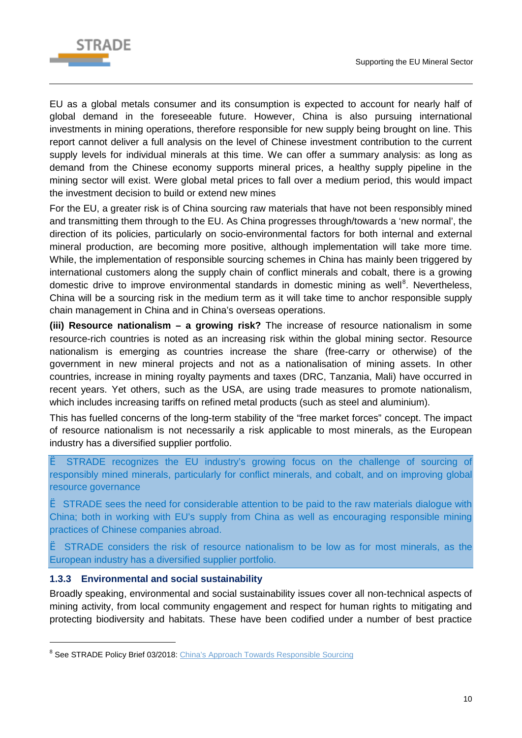

EU as a global metals consumer and its consumption is expected to account for nearly half of global demand in the foreseeable future. However, China is also pursuing international investments in mining operations, therefore responsible for new supply being brought on line. This report cannot deliver a full analysis on the level of Chinese investment contribution to the current supply levels for individual minerals at this time. We can offer a summary analysis: as long as demand from the Chinese economy supports mineral prices, a healthy supply pipeline in the mining sector will exist. Were global metal prices to fall over a medium period, this would impact the investment decision to build or extend new mines

For the EU, a greater risk is of China sourcing raw materials that have not been responsibly mined and transmitting them through to the EU. As China progresses through/towards a 'new normal', the direction of its policies, particularly on socio-environmental factors for both internal and external mineral production, are becoming more positive, although implementation will take more time. While, the implementation of responsible sourcing schemes in China has mainly been triggered by international customers along the supply chain of conflict minerals and cobalt, there is a growing domestic drive to improve environmental standards in domestic mining as well<sup>[8](#page-13-1)</sup>. Nevertheless, China will be a sourcing risk in the medium term as it will take time to anchor responsible supply chain management in China and in China's overseas operations.

**(iii) Resource nationalism – a growing risk?** The increase of resource nationalism in some resource-rich countries is noted as an increasing risk within the global mining sector. Resource nationalism is emerging as countries increase the share (free-carry or otherwise) of the government in new mineral projects and not as a nationalisation of mining assets. In other countries, increase in mining royalty payments and taxes (DRC, Tanzania, Mali) have occurred in recent years. Yet others, such as the USA, are using trade measures to promote nationalism, which includes increasing tariffs on refined metal products (such as steel and aluminium).

This has fuelled concerns of the long-term stability of the "free market forces" concept. The impact of resource nationalism is not necessarily a risk applicable to most minerals, as the European industry has a diversified supplier portfolio.

è STRADE recognizes the EU industry's growing focus on the challenge of sourcing of responsibly mined minerals, particularly for conflict minerals, and cobalt, and on improving global resource governance

è STRADE sees the need for considerable attention to be paid to the raw materials dialogue with China; both in working with EU's supply from China as well as encouraging responsible mining practices of Chinese companies abroad.

è STRADE considers the risk of resource nationalism to be low as for most minerals, as the European industry has a diversified supplier portfolio.

### <span id="page-13-0"></span>**1.3.3 Environmental and social sustainability**

-

Broadly speaking, environmental and social sustainability issues cover all non-technical aspects of mining activity, from local community engagement and respect for human rights to mitigating and protecting biodiversity and habitats. These have been codified under a number of best practice

<span id="page-13-1"></span><sup>&</sup>lt;sup>8</sup> See STRADE Policy Brief 03/2018: [China's Approach Towards Responsible Sourcing](http://stradeproject.eu/fileadmin/user_upload/pdf/STRADE_PB_03_2018_China_responsible_sourcing.pdf)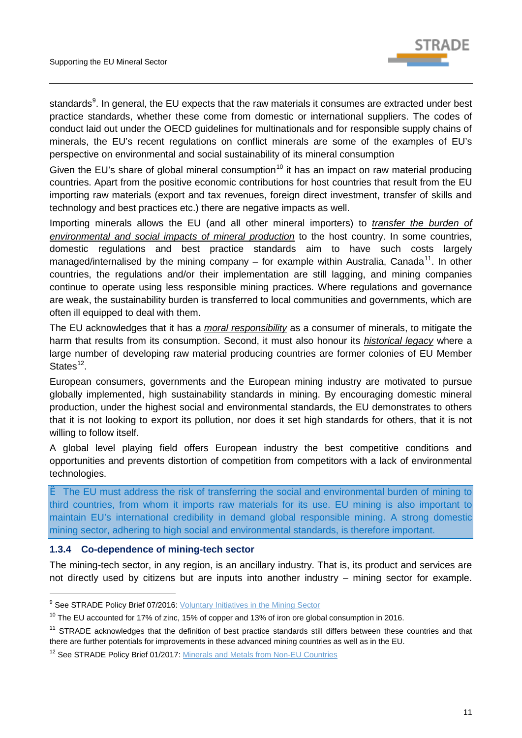

standards<sup>[9](#page-14-1)</sup>. In general, the EU expects that the raw materials it consumes are extracted under best practice standards, whether these come from domestic or international suppliers. The codes of conduct laid out under the OECD guidelines for multinationals and for responsible supply chains of minerals, the EU's recent regulations on conflict minerals are some of the examples of EU's perspective on environmental and social sustainability of its mineral consumption

Given the EU's share of global mineral consumption<sup>[10](#page-14-2)</sup> it has an impact on raw material producing countries. Apart from the positive economic contributions for host countries that result from the EU importing raw materials (export and tax revenues, foreign direct investment, transfer of skills and technology and best practices etc.) there are negative impacts as well.

Importing minerals allows the EU (and all other mineral importers) to *transfer the burden of environmental and social impacts of mineral production* to the host country. In some countries, domestic regulations and best practice standards aim to have such costs largely managed/internalised by the mining company – for example within Australia, Canada<sup>[11](#page-14-3)</sup>. In other countries, the regulations and/or their implementation are still lagging, and mining companies continue to operate using less responsible mining practices. Where regulations and governance are weak, the sustainability burden is transferred to local communities and governments, which are often ill equipped to deal with them.

The EU acknowledges that it has a *moral responsibility* as a consumer of minerals, to mitigate the harm that results from its consumption. Second, it must also honour its *historical legacy* where a large number of developing raw material producing countries are former colonies of EU Member States $12$ .

European consumers, governments and the European mining industry are motivated to pursue globally implemented, high sustainability standards in mining. By encouraging domestic mineral production, under the highest social and environmental standards, the EU demonstrates to others that it is not looking to export its pollution, nor does it set high standards for others, that it is not willing to follow itself.

A global level playing field offers European industry the best competitive conditions and opportunities and prevents distortion of competition from competitors with a lack of environmental technologies.

è The EU must address the risk of transferring the social and environmental burden of mining to third countries, from whom it imports raw materials for its use. EU mining is also important to maintain EU's international credibility in demand global responsible mining. A strong domestic mining sector, adhering to high social and environmental standards, is therefore important.

#### <span id="page-14-0"></span>**1.3.4 Co-dependence of mining-tech sector**

-

The mining-tech sector, in any region, is an ancillary industry. That is, its product and services are not directly used by citizens but are inputs into another industry – mining sector for example.

<span id="page-14-1"></span><sup>&</sup>lt;sup>9</sup> See STRADE Policy Brief 07/2016: [Voluntary Initiatives in the Mining Sector](http://stradeproject.eu/fileadmin/user_upload/pdf/STRADE_PB_07_OEI_Nov.2016.pdf)

<span id="page-14-2"></span><sup>&</sup>lt;sup>10</sup> The EU accounted for 17% of zinc, 15% of copper and 13% of iron ore global consumption in 2016.

<span id="page-14-3"></span> $11$  STRADE acknowledges that the definition of best practice standards still differs between these countries and that there are further potentials for improvements in these advanced mining countries as well as in the EU.

<span id="page-14-4"></span><sup>&</sup>lt;sup>12</sup> See STRADE Policy Brief 01/2017[: Minerals and Metals from Non-EU Countries](http://stradeproject.eu/fileadmin/user_upload/pdf/PolicyBrief_01-2017_Feb2017_FINAL.pdf)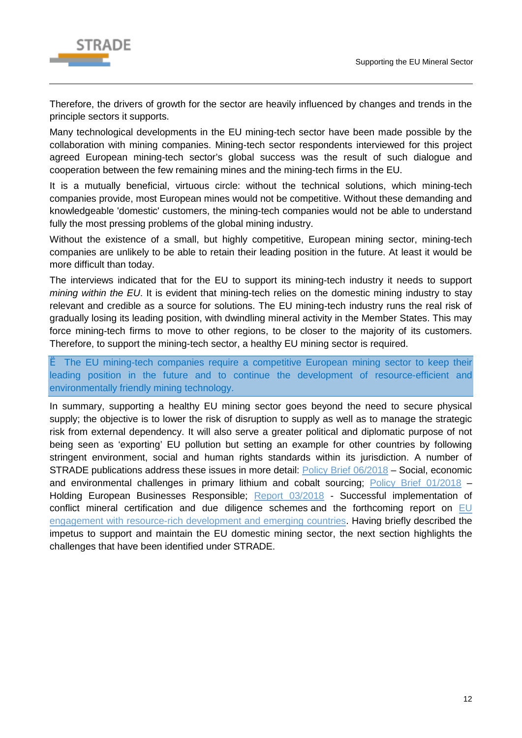

Therefore, the drivers of growth for the sector are heavily influenced by changes and trends in the principle sectors it supports.

Many technological developments in the EU mining-tech sector have been made possible by the collaboration with mining companies. Mining-tech sector respondents interviewed for this project agreed European mining-tech sector's global success was the result of such dialogue and cooperation between the few remaining mines and the mining-tech firms in the EU.

It is a mutually beneficial, virtuous circle: without the technical solutions, which mining-tech companies provide, most European mines would not be competitive. Without these demanding and knowledgeable 'domestic' customers, the mining-tech companies would not be able to understand fully the most pressing problems of the global mining industry.

Without the existence of a small, but highly competitive, European mining sector, mining-tech companies are unlikely to be able to retain their leading position in the future. At least it would be more difficult than today.

The interviews indicated that for the EU to support its mining-tech industry it needs to support *mining within the EU*. It is evident that mining-tech relies on the domestic mining industry to stay relevant and credible as a source for solutions. The EU mining-tech industry runs the real risk of gradually losing its leading position, with dwindling mineral activity in the Member States. This may force mining-tech firms to move to other regions, to be closer to the majority of its customers. Therefore, to support the mining-tech sector, a healthy EU mining sector is required.

è The EU mining-tech companies require a competitive European mining sector to keep their leading position in the future and to continue the development of resource-efficient and environmentally friendly mining technology.

In summary, supporting a healthy EU mining sector goes beyond the need to secure physical supply; the objective is to lower the risk of disruption to supply as well as to manage the strategic risk from external dependency. It will also serve a greater political and diplomatic purpose of not being seen as 'exporting' EU pollution but setting an example for other countries by following stringent environment, social and human rights standards within its jurisdiction. A number of STRADE publications address these issues in more detail: [Policy Brief 06/2018](http://stradeproject.eu/fileadmin/user_upload/pdf/STRADE_PB_Li_Co_EMobility.pdf) – Social, economic and environmental challenges in primary lithium and cobalt sourcing; [Policy Brief 01/2018](http://stradeproject.eu/fileadmin/user_upload/pdf/STRADE_PB_01-2018_Holding_European_businesses_responsible.pdf) -Holding European Businesses Responsible; [Report 03/2018](http://stradeproject.eu/fileadmin/user_upload/pdf/STRADE_Report_D4.19_Due_Diligence_Certification.pdf) - Successful implementation of conflict mineral certification and due diligence schemes and the forthcoming report on EU [engagement with resource-rich development and emerging countries.](http://stradeproject.eu/index.php?id=43) Having briefly described the impetus to support and maintain the EU domestic mining sector, the next section highlights the challenges that have been identified under STRADE.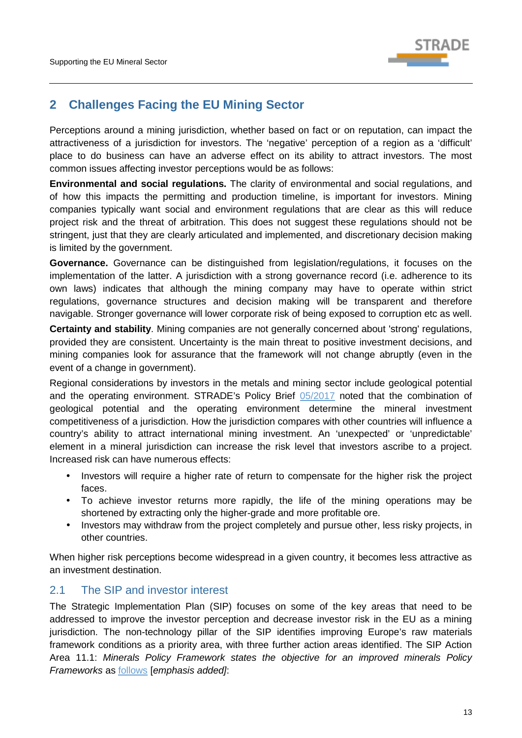

# <span id="page-16-0"></span>**2 Challenges Facing the EU Mining Sector**

Perceptions around a mining jurisdiction, whether based on fact or on reputation, can impact the attractiveness of a jurisdiction for investors. The 'negative' perception of a region as a 'difficult' place to do business can have an adverse effect on its ability to attract investors. The most common issues affecting investor perceptions would be as follows:

**Environmental and social regulations.** The clarity of environmental and social regulations, and of how this impacts the permitting and production timeline, is important for investors. Mining companies typically want social and environment regulations that are clear as this will reduce project risk and the threat of arbitration. This does not suggest these regulations should not be stringent, just that they are clearly articulated and implemented, and discretionary decision making is limited by the government.

**Governance.** Governance can be distinguished from legislation/regulations, it focuses on the implementation of the latter. A jurisdiction with a strong governance record (i.e. adherence to its own laws) indicates that although the mining company may have to operate within strict regulations, governance structures and decision making will be transparent and therefore navigable. Stronger governance will lower corporate risk of being exposed to corruption etc as well.

**Certainty and stability**. Mining companies are not generally concerned about 'strong' regulations, provided they are consistent. Uncertainty is the main threat to positive investment decisions, and mining companies look for assurance that the framework will not change abruptly (even in the event of a change in government).

Regional considerations by investors in the metals and mining sector include geological potential and the operating environment. STRADE's Policy Brief [05/2017](http://stradeproject.eu/fileadmin/user_upload/pdf/STRADE_PB05-2017_D2-5_AttractMinInvestors-FundamentalsInvestDecisions_May2017_FINAL.pdf) noted that the combination of geological potential and the operating environment determine the mineral investment competitiveness of a jurisdiction. How the jurisdiction compares with other countries will influence a country's ability to attract international mining investment. An 'unexpected' or 'unpredictable' element in a mineral jurisdiction can increase the risk level that investors ascribe to a project. Increased risk can have numerous effects:

- Investors will require a higher rate of return to compensate for the higher risk the project faces.
- To achieve investor returns more rapidly, the life of the mining operations may be shortened by extracting only the higher-grade and more profitable ore.
- Investors may withdraw from the project completely and pursue other, less risky projects, in other countries.

When higher risk perceptions become widespread in a given country, it becomes less attractive as an investment destination.

# <span id="page-16-1"></span>2.1 The SIP and investor interest

The Strategic Implementation Plan (SIP) focuses on some of the key areas that need to be addressed to improve the investor perception and decrease investor risk in the EU as a mining jurisdiction. The non-technology pillar of the SIP identifies improving Europe's raw materials framework conditions as a priority area, with three further action areas identified. The SIP Action Area 11.1: *Minerals Policy Framework states the objective for an improved minerals Policy Frameworks* as [follows](https://ec.europa.eu/growth/tools-databases/eip-raw-materials/en/content/strategic-implementation-plan-part-ii#II.1%20Minerals) [*emphasis added]*: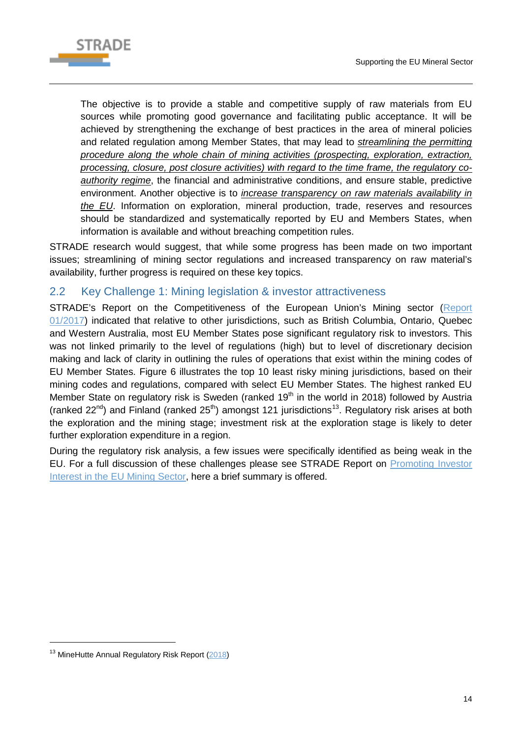

The objective is to provide a stable and competitive supply of raw materials from EU sources while promoting good governance and facilitating public acceptance. It will be achieved by strengthening the exchange of best practices in the area of mineral policies and related regulation among Member States, that may lead to *streamlining the permitting procedure along the whole chain of mining activities (prospecting, exploration, extraction, processing, closure, post closure activities) with regard to the time frame, the regulatory coauthority regime*, the financial and administrative conditions, and ensure stable, predictive environment. Another objective is to *increase transparency on raw materials availability in the EU*. Information on exploration, mineral production, trade, reserves and resources should be standardized and systematically reported by EU and Members States, when information is available and without breaching competition rules.

STRADE research would suggest, that while some progress has been made on two important issues; streamlining of mining sector regulations and increased transparency on raw material's availability, further progress is required on these key topics.

# <span id="page-17-0"></span>2.2 Key Challenge 1: Mining legislation & investor attractiveness

STRADE's Report on the Competitiveness of the European Union's Mining sector [\(Report](http://stradeproject.eu/fileadmin/user_upload/pdf/STRADE_Rpt_D2-01_EU-MiningIndustry-Competitiveness_Apr2017_FINAL.pdf)  [01/2017\)](http://stradeproject.eu/fileadmin/user_upload/pdf/STRADE_Rpt_D2-01_EU-MiningIndustry-Competitiveness_Apr2017_FINAL.pdf) indicated that relative to other jurisdictions, such as British Columbia, Ontario, Quebec and Western Australia, most EU Member States pose significant regulatory risk to investors. This was not linked primarily to the level of regulations (high) but to level of discretionary decision making and lack of clarity in outlining the rules of operations that exist within the mining codes of EU Member States. [Figure 6](#page-18-1) illustrates the top 10 least risky mining jurisdictions, based on their mining codes and regulations, compared with select EU Member States. The highest ranked EU Member State on regulatory risk is Sweden (ranked  $19<sup>th</sup>$  in the world in 2018) followed by Austria (ranked  $22^{nd}$ ) and Finland (ranked  $25^{th}$ ) amongst 121 jurisdictions<sup>13</sup>. Regulatory risk arises at both the exploration and the mining stage; investment risk at the exploration stage is likely to deter further exploration expenditure in a region.

During the regulatory risk analysis, a few issues were specifically identified as being weak in the EU. For a full discussion of these challenges please see STRADE Report on [Promoting Investor](http://stradeproject.eu/fileadmin/user_upload/pdf/STRADE_Report_02_2018_Promoting_Mining_in_the_EU.pdf)  Interest [in the EU Mining Sector,](http://stradeproject.eu/fileadmin/user_upload/pdf/STRADE_Report_02_2018_Promoting_Mining_in_the_EU.pdf) here a brief summary is offered.

-

<span id="page-17-1"></span><sup>&</sup>lt;sup>13</sup> MineHutte Annual Regulatory Risk Report [\(2018\)](https://minehutte.com/product/minehuttes-annual-report-2018/)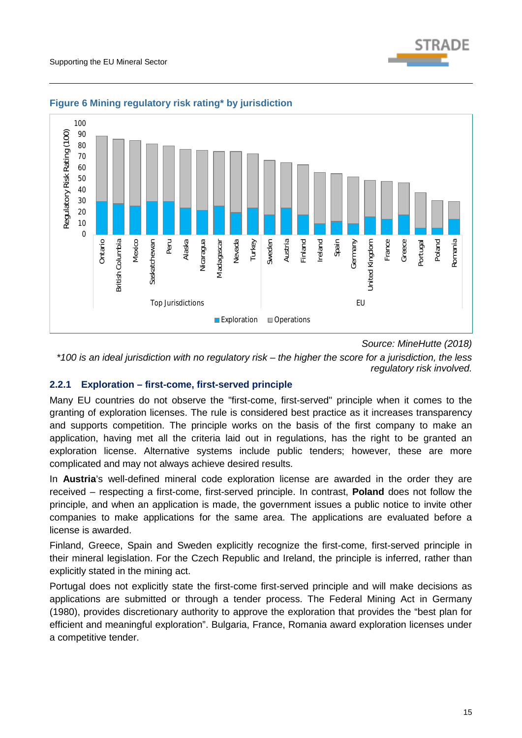

#### <span id="page-18-1"></span>**Figure 6 Mining regulatory risk rating\* by jurisdiction**

*Source: MineHutte (2018)*

*\*100 is an ideal jurisdiction with no regulatory risk – the higher the score for a jurisdiction, the less regulatory risk involved.*

#### <span id="page-18-0"></span>**2.2.1 Exploration – first-come, first-served principle**

Many EU countries do not observe the "first-come, first-served" principle when it comes to the granting of exploration licenses. The rule is considered best practice as it increases transparency and supports competition. The principle works on the basis of the first company to make an application, having met all the criteria laid out in regulations, has the right to be granted an exploration license. Alternative systems include public tenders; however, these are more complicated and may not always achieve desired results.

In **Austria**'s well-defined mineral code exploration license are awarded in the order they are received – respecting a first-come, first-served principle. In contrast, **Poland** does not follow the principle, and when an application is made, the government issues a public notice to invite other companies to make applications for the same area. The applications are evaluated before a license is awarded.

Finland, Greece, Spain and Sweden explicitly recognize the first-come, first-served principle in their mineral legislation. For the Czech Republic and Ireland, the principle is inferred, rather than explicitly stated in the mining act.

Portugal does not explicitly state the first-come first-served principle and will make decisions as applications are submitted or through a tender process. The Federal Mining Act in Germany (1980), provides discretionary authority to approve the exploration that provides the "best plan for efficient and meaningful exploration". Bulgaria, France, Romania award exploration licenses under a competitive tender.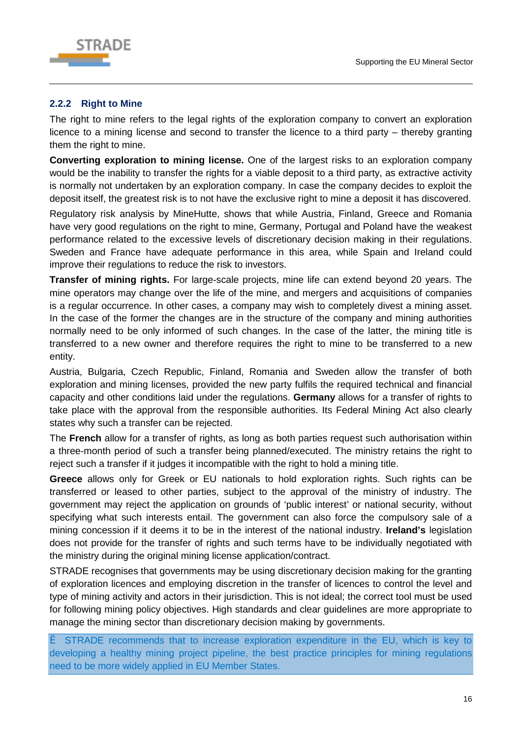

#### <span id="page-19-0"></span>**2.2.2 Right to Mine**

The right to mine refers to the legal rights of the exploration company to convert an exploration licence to a mining license and second to transfer the licence to a third party – thereby granting them the right to mine.

**Converting exploration to mining license.** One of the largest risks to an exploration company would be the inability to transfer the rights for a viable deposit to a third party, as extractive activity is normally not undertaken by an exploration company. In case the company decides to exploit the deposit itself, the greatest risk is to not have the exclusive right to mine a deposit it has discovered.

Regulatory risk analysis by MineHutte, shows that while Austria, Finland, Greece and Romania have very good regulations on the right to mine, Germany, Portugal and Poland have the weakest performance related to the excessive levels of discretionary decision making in their regulations. Sweden and France have adequate performance in this area, while Spain and Ireland could improve their regulations to reduce the risk to investors.

**Transfer of mining rights.** For large-scale projects, mine life can extend beyond 20 years. The mine operators may change over the life of the mine, and mergers and acquisitions of companies is a regular occurrence. In other cases, a company may wish to completely divest a mining asset. In the case of the former the changes are in the structure of the company and mining authorities normally need to be only informed of such changes. In the case of the latter, the mining title is transferred to a new owner and therefore requires the right to mine to be transferred to a new entity.

Austria, Bulgaria, Czech Republic, Finland, Romania and Sweden allow the transfer of both exploration and mining licenses, provided the new party fulfils the required technical and financial capacity and other conditions laid under the regulations. **Germany** allows for a transfer of rights to take place with the approval from the responsible authorities. Its Federal Mining Act also clearly states why such a transfer can be rejected.

The **French** allow for a transfer of rights, as long as both parties request such authorisation within a three-month period of such a transfer being planned/executed. The ministry retains the right to reject such a transfer if it judges it incompatible with the right to hold a mining title.

**Greece** allows only for Greek or EU nationals to hold exploration rights. Such rights can be transferred or leased to other parties, subject to the approval of the ministry of industry. The government may reject the application on grounds of 'public interest' or national security, without specifying what such interests entail. The government can also force the compulsory sale of a mining concession if it deems it to be in the interest of the national industry. **Ireland's** legislation does not provide for the transfer of rights and such terms have to be individually negotiated with the ministry during the original mining license application/contract.

STRADE recognises that governments may be using discretionary decision making for the granting of exploration licences and employing discretion in the transfer of licences to control the level and type of mining activity and actors in their jurisdiction. This is not ideal; the correct tool must be used for following mining policy objectives. High standards and clear guidelines are more appropriate to manage the mining sector than discretionary decision making by governments.

è STRADE recommends that to increase exploration expenditure in the EU, which is key to developing a healthy mining project pipeline, the best practice principles for mining regulations need to be more widely applied in EU Member States.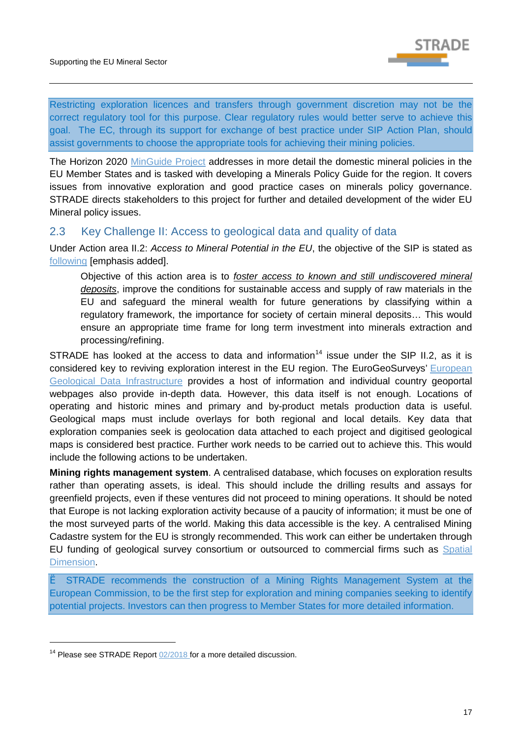

Restricting exploration licences and transfers through government discretion may not be the correct regulatory tool for this purpose. Clear regulatory rules would better serve to achieve this goal. The EC, through its support for exchange of best practice under SIP Action Plan, should assist governments to choose the appropriate tools for achieving their mining policies.

The Horizon 2020 [MinGuide Project](https://www.min-guide.eu/) addresses in more detail the domestic mineral policies in the EU Member States and is tasked with developing a Minerals Policy Guide for the region. It covers issues from innovative exploration and good practice cases on minerals policy governance. STRADE directs stakeholders to this project for further and detailed development of the wider EU Mineral policy issues.

### <span id="page-20-0"></span>2.3 Key Challenge II: Access to geological data and quality of data

Under Action area II.2: *Access to Mineral Potential in the EU*, the objective of the SIP is stated as [following](https://ec.europa.eu/growth/tools-databases/eip-raw-materials/en/content/strategic-implementation-plan-part-ii#II.2.%20Access) [emphasis added].

Objective of this action area is to *foster access to known and still undiscovered mineral deposits*, improve the conditions for sustainable access and supply of raw materials in the EU and safeguard the mineral wealth for future generations by classifying within a regulatory framework, the importance for society of certain mineral deposits… This would ensure an appropriate time frame for long term investment into minerals extraction and processing/refining.

STRADE has looked at the access to data and information<sup>[14](#page-20-1)</sup> issue under the SIP II.2, as it is considered key to reviving exploration interest in the EU region. The [EuroGeoSurveys'](http://www.eurogeosurveys.org/) European [Geological Data Infrastructure](http://www.europe-geology.eu/mineral-resources/mineral-resources-map/critical-raw-materials-map/) provides a host of information and individual country geoportal webpages also provide in-depth data. However, this data itself is not enough. Locations of operating and historic mines and primary and by-product metals production data is useful. Geological maps must include overlays for both regional and local details. Key data that exploration companies seek is geolocation data attached to each project and digitised geological maps is considered best practice. Further work needs to be carried out to achieve this. This would include the following actions to be undertaken.

**Mining rights management system**. A centralised database, which focuses on exploration results rather than operating assets, is ideal. This should include the drilling results and assays for greenfield projects, even if these ventures did not proceed to mining operations. It should be noted that Europe is not lacking exploration activity because of a paucity of information; it must be one of the most surveyed parts of the world. Making this data accessible is the key. A centralised Mining Cadastre system for the EU is strongly recommended. This work can either be undertaken through EU funding of geological survey consortium or outsourced to commercial firms such as [Spatial](http://www.spatialdimension.com/Projects)  [Dimension.](http://www.spatialdimension.com/Projects)

è STRADE recommends the construction of a Mining Rights Management System at the European Commission, to be the first step for exploration and mining companies seeking to identify potential projects. Investors can then progress to Member States for more detailed information.

-

<span id="page-20-1"></span><sup>&</sup>lt;sup>14</sup> Please see STRADE Report  $02/2018$  for a more detailed discussion.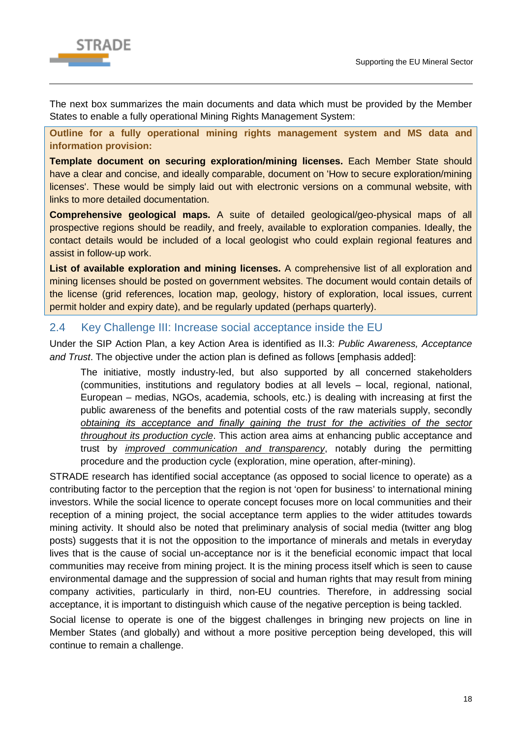

The next box summarizes the main documents and data which must be provided by the Member States to enable a fully operational Mining Rights Management System:

**Outline for a fully operational mining rights management system and MS data and information provision:** 

**Template document on securing exploration/mining licenses.** Each Member State should have a clear and concise, and ideally comparable, document on 'How to secure exploration/mining licenses'. These would be simply laid out with electronic versions on a communal website, with links to more detailed documentation.

**Comprehensive geological maps.** A suite of detailed geological/geo-physical maps of all prospective regions should be readily, and freely, available to exploration companies. Ideally, the contact details would be included of a local geologist who could explain regional features and assist in follow-up work.

**List of available exploration and mining licenses.** A comprehensive list of all exploration and mining licenses should be posted on government websites. The document would contain details of the license (grid references, location map, geology, history of exploration, local issues, current permit holder and expiry date), and be regularly updated (perhaps quarterly).

## <span id="page-21-0"></span>2.4 Key Challenge III: Increase social acceptance inside the EU

Under the SIP Action Plan, a key Action Area is identified as II.3: *Public Awareness, Acceptance and Trust*. The objective under the action plan is defined as follows [emphasis added]:

The initiative, mostly industry-led, but also supported by all concerned stakeholders (communities, institutions and regulatory bodies at all levels – local, regional, national, European – medias, NGOs, academia, schools, etc.) is dealing with increasing at first the public awareness of the benefits and potential costs of the raw materials supply, secondly *obtaining its acceptance and finally gaining the trust for the activities of the sector throughout its production cycle*. This action area aims at enhancing public acceptance and trust by *improved communication and transparency*, notably during the permitting procedure and the production cycle (exploration, mine operation, after-mining).

STRADE research has identified social acceptance (as opposed to social licence to operate) as a contributing factor to the perception that the region is not 'open for business' to international mining investors. While the social licence to operate concept focuses more on local communities and their reception of a mining project, the social acceptance term applies to the wider attitudes towards mining activity. It should also be noted that preliminary analysis of social media (twitter ang blog posts) suggests that it is not the opposition to the importance of minerals and metals in everyday lives that is the cause of social un-acceptance nor is it the beneficial economic impact that local communities may receive from mining project. It is the mining process itself which is seen to cause environmental damage and the suppression of social and human rights that may result from mining company activities, particularly in third, non-EU countries. Therefore, in addressing social acceptance, it is important to distinguish which cause of the negative perception is being tackled.

Social license to operate is one of the biggest challenges in bringing new projects on line in Member States (and globally) and without a more positive perception being developed, this will continue to remain a challenge.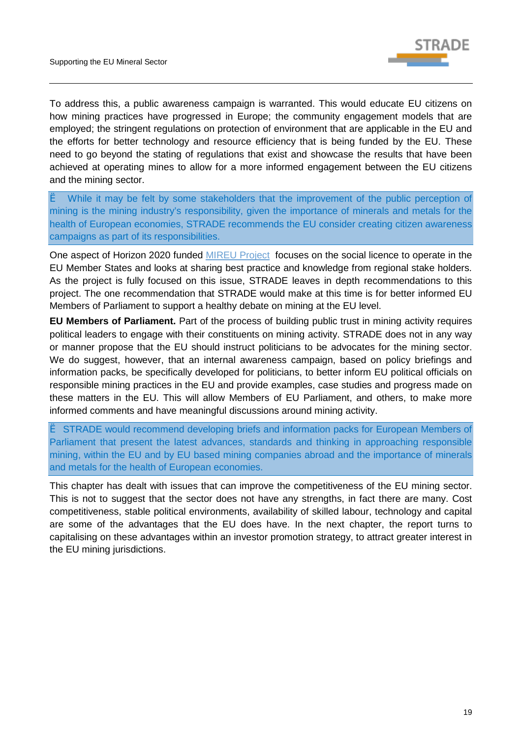

To address this, a public awareness campaign is warranted. This would educate EU citizens on how mining practices have progressed in Europe; the community engagement models that are employed; the stringent regulations on protection of environment that are applicable in the EU and the efforts for better technology and resource efficiency that is being funded by the EU. These need to go beyond the stating of regulations that exist and showcase the results that have been achieved at operating mines to allow for a more informed engagement between the EU citizens and the mining sector.

è While it may be felt by some stakeholders that the improvement of the public perception of mining is the mining industry's responsibility, given the importance of minerals and metals for the health of European economies, STRADE recommends the EU consider creating citizen awareness campaigns as part of its responsibilities.

One aspect of Horizon 2020 funded [MIREU Project](https://www.mireu.eu/) focuses on the social licence to operate in the EU Member States and looks at sharing best practice and knowledge from regional stake holders. As the project is fully focused on this issue, STRADE leaves in depth recommendations to this project. The one recommendation that STRADE would make at this time is for better informed EU Members of Parliament to support a healthy debate on mining at the EU level.

**EU Members of Parliament.** Part of the process of building public trust in mining activity requires political leaders to engage with their constituents on mining activity. STRADE does not in any way or manner propose that the EU should instruct politicians to be advocates for the mining sector. We do suggest, however, that an internal awareness campaign, based on policy briefings and information packs, be specifically developed for politicians, to better inform EU political officials on responsible mining practices in the EU and provide examples, case studies and progress made on these matters in the EU. This will allow Members of EU Parliament, and others, to make more informed comments and have meaningful discussions around mining activity.

è STRADE would recommend developing briefs and information packs for European Members of Parliament that present the latest advances, standards and thinking in approaching responsible mining, within the EU and by EU based mining companies abroad and the importance of minerals and metals for the health of European economies.

This chapter has dealt with issues that can improve the competitiveness of the EU mining sector. This is not to suggest that the sector does not have any strengths, in fact there are many. Cost competitiveness, stable political environments, availability of skilled labour, technology and capital are some of the advantages that the EU does have. In the next chapter, the report turns to capitalising on these advantages within an investor promotion strategy, to attract greater interest in the EU mining jurisdictions.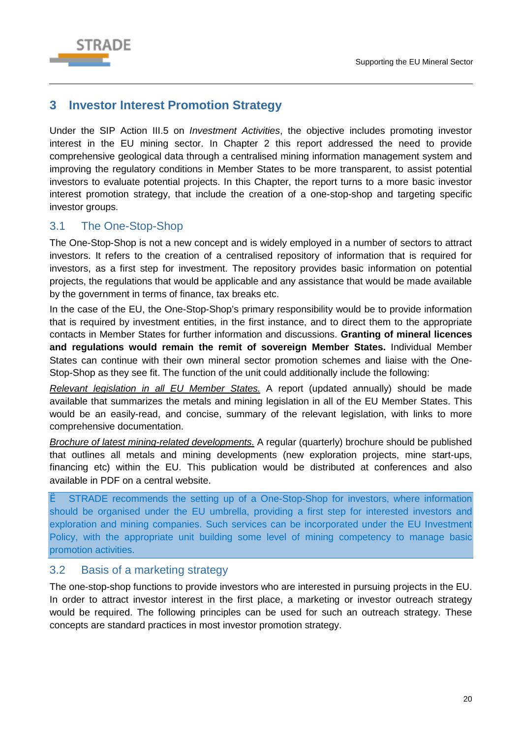

# <span id="page-23-0"></span>**3 Investor Interest Promotion Strategy**

Under the SIP Action III.5 on *Investment Activities*, the objective includes promoting investor interest in the EU mining sector. In Chapter 2 this report addressed the need to provide comprehensive geological data through a centralised mining information management system and improving the regulatory conditions in Member States to be more transparent, to assist potential investors to evaluate potential projects. In this Chapter, the report turns to a more basic investor interest promotion strategy, that include the creation of a one-stop-shop and targeting specific investor groups.

# <span id="page-23-1"></span>3.1 The One-Stop-Shop

The One-Stop-Shop is not a new concept and is widely employed in a number of sectors to attract investors. It refers to the creation of a centralised repository of information that is required for investors, as a first step for investment. The repository provides basic information on potential projects, the regulations that would be applicable and any assistance that would be made available by the government in terms of finance, tax breaks etc.

In the case of the EU, the One-Stop-Shop's primary responsibility would be to provide information that is required by investment entities, in the first instance, and to direct them to the appropriate contacts in Member States for further information and discussions. **Granting of mineral licences and regulations would remain the remit of sovereign Member States.** Individual Member States can continue with their own mineral sector promotion schemes and liaise with the One-Stop-Shop as they see fit. The function of the unit could additionally include the following:

*Relevant legislation in all EU Member States.* A report (updated annually) should be made available that summarizes the metals and mining legislation in all of the EU Member States. This would be an easily-read, and concise, summary of the relevant legislation, with links to more comprehensive documentation.

*Brochure of latest mining-related developments.* A regular (quarterly) brochure should be published that outlines all metals and mining developments (new exploration projects, mine start-ups, financing etc) within the EU. This publication would be distributed at conferences and also available in PDF on a central website.

è STRADE recommends the setting up of a One-Stop-Shop for investors, where information should be organised under the EU umbrella, providing a first step for interested investors and exploration and mining companies. Such services can be incorporated under the EU Investment Policy, with the appropriate unit building some level of mining competency to manage basic promotion activities.

### <span id="page-23-2"></span>3.2 Basis of a marketing strategy

The one-stop-shop functions to provide investors who are interested in pursuing projects in the EU. In order to attract investor interest in the first place, a marketing or investor outreach strategy would be required. The following principles can be used for such an outreach strategy. These concepts are standard practices in most investor promotion strategy.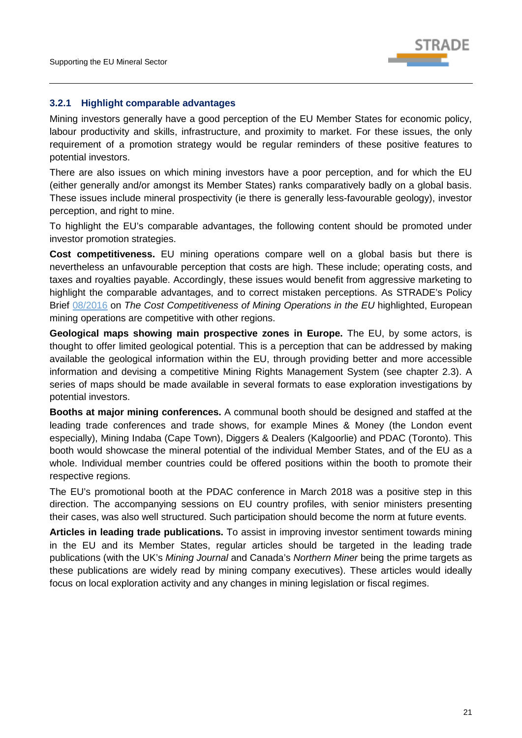

#### <span id="page-24-0"></span>**3.2.1 Highlight comparable advantages**

Mining investors generally have a good perception of the EU Member States for economic policy, labour productivity and skills, infrastructure, and proximity to market. For these issues, the only requirement of a promotion strategy would be regular reminders of these positive features to potential investors.

There are also issues on which mining investors have a poor perception, and for which the EU (either generally and/or amongst its Member States) ranks comparatively badly on a global basis. These issues include mineral prospectivity (ie there is generally less-favourable geology), investor perception, and right to mine.

To highlight the EU's comparable advantages, the following content should be promoted under investor promotion strategies.

**Cost competitiveness.** EU mining operations compare well on a global basis but there is nevertheless an unfavourable perception that costs are high. These include; operating costs, and taxes and royalties payable. Accordingly, these issues would benefit from aggressive marketing to highlight the comparable advantages, and to correct mistaken perceptions. As STRADE's Policy Brief [08/2016](http://stradeproject.eu/fileadmin/user_upload/pdf/PolicyBrief_08-2016_Nov2016_FINAL.pdf) on *The Cost Competitiveness of Mining Operations in the EU* highlighted, European mining operations are competitive with other regions.

**Geological maps showing main prospective zones in Europe.** The EU, by some actors, is thought to offer limited geological potential. This is a perception that can be addressed by making available the geological information within the EU, through providing better and more accessible information and devising a competitive Mining Rights Management System (see chapter [2.3\)](#page-20-0). A series of maps should be made available in several formats to ease exploration investigations by potential investors.

**Booths at major mining conferences.** A communal booth should be designed and staffed at the leading trade conferences and trade shows, for example Mines & Money (the London event especially), Mining Indaba (Cape Town), Diggers & Dealers (Kalgoorlie) and PDAC (Toronto). This booth would showcase the mineral potential of the individual Member States, and of the EU as a whole. Individual member countries could be offered positions within the booth to promote their respective regions.

The EU's promotional booth at the PDAC conference in March 2018 was a positive step in this direction. The accompanying sessions on EU country profiles, with senior ministers presenting their cases, was also well structured. Such participation should become the norm at future events.

**Articles in leading trade publications.** To assist in improving investor sentiment towards mining in the EU and its Member States, regular articles should be targeted in the leading trade publications (with the UK's *Mining Journal* and Canada's *Northern Miner* being the prime targets as these publications are widely read by mining company executives). These articles would ideally focus on local exploration activity and any changes in mining legislation or fiscal regimes.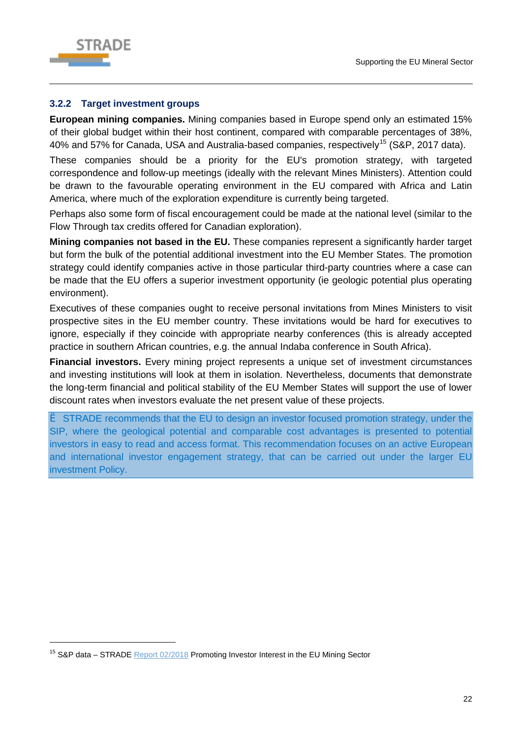

-

#### <span id="page-25-0"></span>**3.2.2 Target investment groups**

**European mining companies.** Mining companies based in Europe spend only an estimated 15% of their global budget within their host continent, compared with comparable percentages of 38%, 40% and 57% for Canada, USA and Australia-based companies, respectively<sup>[15](#page-25-1)</sup> (S&P, 2017 data).

These companies should be a priority for the EU's promotion strategy, with targeted correspondence and follow-up meetings (ideally with the relevant Mines Ministers). Attention could be drawn to the favourable operating environment in the EU compared with Africa and Latin America, where much of the exploration expenditure is currently being targeted.

Perhaps also some form of fiscal encouragement could be made at the national level (similar to the Flow Through tax credits offered for Canadian exploration).

**Mining companies not based in the EU.** These companies represent a significantly harder target but form the bulk of the potential additional investment into the EU Member States. The promotion strategy could identify companies active in those particular third-party countries where a case can be made that the EU offers a superior investment opportunity (ie geologic potential plus operating environment).

Executives of these companies ought to receive personal invitations from Mines Ministers to visit prospective sites in the EU member country. These invitations would be hard for executives to ignore, especially if they coincide with appropriate nearby conferences (this is already accepted practice in southern African countries, e.g. the annual Indaba conference in South Africa).

**Financial investors.** Every mining project represents a unique set of investment circumstances and investing institutions will look at them in isolation. Nevertheless, documents that demonstrate the long-term financial and political stability of the EU Member States will support the use of lower discount rates when investors evaluate the net present value of these projects.

è STRADE recommends that the EU to design an investor focused promotion strategy, under the SIP, where the geological potential and comparable cost advantages is presented to potential investors in easy to read and access format. This recommendation focuses on an active European and international investor engagement strategy, that can be carried out under the larger EU investment Policy.

<span id="page-25-1"></span><sup>&</sup>lt;sup>15</sup> S&P data – STRADE [Report 02/2018](http://stradeproject.eu/fileadmin/user_upload/pdf/STRADE_Report_02_2018_Promoting_Mining_in_the_EU.pdf) Promoting Investor Interest in the EU Mining Sector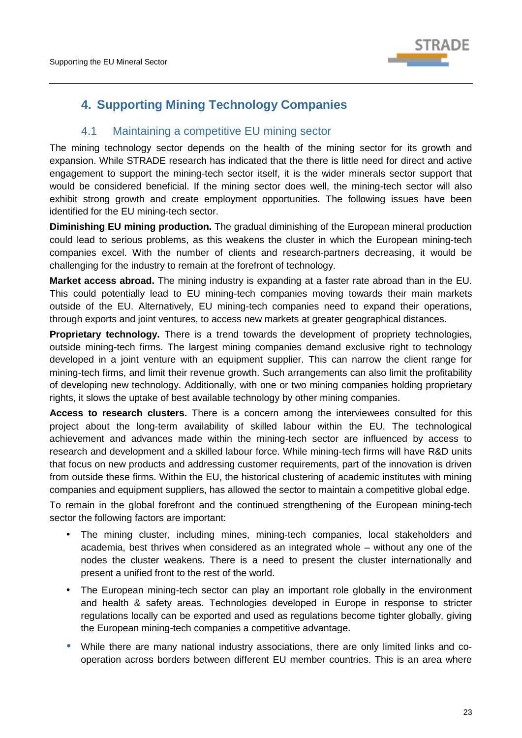

# <span id="page-26-0"></span>**4. Supporting Mining Technology Companies**

# 4.1 Maintaining a competitive EU mining sector

The mining technology sector depends on the health of the mining sector for its growth and expansion. While STRADE research has indicated that the there is little need for direct and active engagement to support the mining-tech sector itself, it is the wider minerals sector support that would be considered beneficial. If the mining sector does well, the mining-tech sector will also exhibit strong growth and create employment opportunities. The following issues have been identified for the EU mining-tech sector.

**Diminishing EU mining production.** The gradual diminishing of the European mineral production could lead to serious problems, as this weakens the cluster in which the European mining-tech companies excel. With the number of clients and research-partners decreasing, it would be challenging for the industry to remain at the forefront of technology.

**Market access abroad.** The mining industry is expanding at a faster rate abroad than in the EU. This could potentially lead to EU mining-tech companies moving towards their main markets outside of the EU. Alternatively, EU mining-tech companies need to expand their operations, through exports and joint ventures, to access new markets at greater geographical distances.

**Proprietary technology.** There is a trend towards the development of propriety technologies, outside mining-tech firms. The largest mining companies demand exclusive right to technology developed in a joint venture with an equipment supplier. This can narrow the client range for mining-tech firms, and limit their revenue growth. Such arrangements can also limit the profitability of developing new technology. Additionally, with one or two mining companies holding proprietary rights, it slows the uptake of best available technology by other mining companies.

**Access to research clusters.** There is a concern among the interviewees consulted for this project about the long-term availability of skilled labour within the EU. The technological achievement and advances made within the mining-tech sector are influenced by access to research and development and a skilled labour force. While mining-tech firms will have R&D units that focus on new products and addressing customer requirements, part of the innovation is driven from outside these firms. Within the EU, the historical clustering of academic institutes with mining companies and equipment suppliers, has allowed the sector to maintain a competitive global edge.

To remain in the global forefront and the continued strengthening of the European mining-tech sector the following factors are important:

- The mining cluster, including mines, mining-tech companies, local stakeholders and academia, best thrives when considered as an integrated whole – without any one of the nodes the cluster weakens. There is a need to present the cluster internationally and present a unified front to the rest of the world.
- The European mining-tech sector can play an important role globally in the environment and health & safety areas. Technologies developed in Europe in response to stricter regulations locally can be exported and used as regulations become tighter globally, giving the European mining-tech companies a competitive advantage.
- While there are many national industry associations, there are only limited links and cooperation across borders between different EU member countries. This is an area where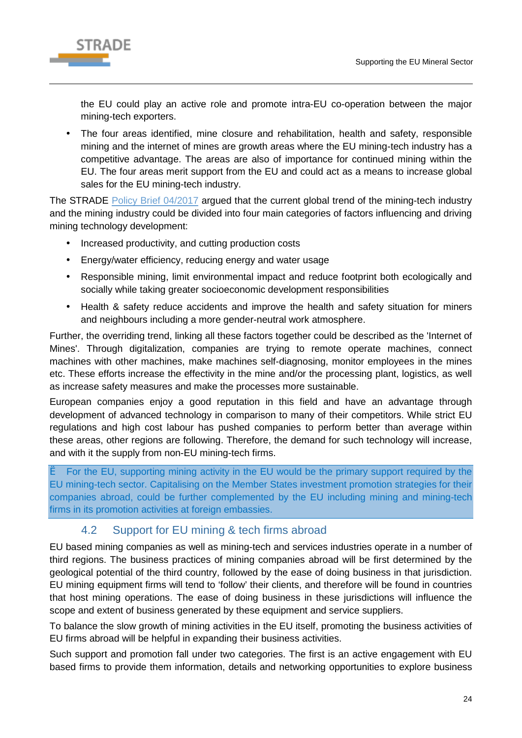

the EU could play an active role and promote intra-EU co-operation between the major mining-tech exporters.

The four areas identified, mine closure and rehabilitation, health and safety, responsible mining and the internet of mines are growth areas where the EU mining-tech industry has a competitive advantage. The areas are also of importance for continued mining within the EU. The four areas merit support from the EU and could act as a means to increase global sales for the EU mining-tech industry.

The STRADE [Policy Brief 04/2017](http://www.stradeproject.eu/fileadmin/user_upload/pdf/STRADE_PB04-2017_D2-8_MiningTechSectorEU-CollaborativeCompetitiveness_May2017_FINAL.pdf) argued that the current global trend of the mining-tech industry and the mining industry could be divided into four main categories of factors influencing and driving mining technology development:

- Increased productivity, and cutting production costs
- Energy/water efficiency, reducing energy and water usage  $\mathbf{r}$
- Responsible mining, limit environmental impact and reduce footprint both ecologically and  $\mathbf{r}$ socially while taking greater socioeconomic development responsibilities
- Health & safety reduce accidents and improve the health and safety situation for miners  $\mathbf{r}$ and neighbours including a more gender-neutral work atmosphere.

Further, the overriding trend, linking all these factors together could be described as the 'Internet of Mines'. Through digitalization, companies are trying to remote operate machines, connect machines with other machines, make machines self-diagnosing, monitor employees in the mines etc. These efforts increase the effectivity in the mine and/or the processing plant, logistics, as well as increase safety measures and make the processes more sustainable.

European companies enjoy a good reputation in this field and have an advantage through development of advanced technology in comparison to many of their competitors. While strict EU regulations and high cost labour has pushed companies to perform better than average within these areas, other regions are following. Therefore, the demand for such technology will increase, and with it the supply from non-EU mining-tech firms.

è For the EU, supporting mining activity in the EU would be the primary support required by the EU mining-tech sector. Capitalising on the Member States investment promotion strategies for their companies abroad, could be further complemented by the EU including mining and mining-tech firms in its promotion activities at foreign embassies.

# 4.2 Support for EU mining & tech firms abroad

<span id="page-27-0"></span>EU based mining companies as well as mining-tech and services industries operate in a number of third regions. The business practices of mining companies abroad will be first determined by the geological potential of the third country, followed by the ease of doing business in that jurisdiction. EU mining equipment firms will tend to 'follow' their clients, and therefore will be found in countries that host mining operations. The ease of doing business in these jurisdictions will influence the scope and extent of business generated by these equipment and service suppliers.

To balance the slow growth of mining activities in the EU itself, promoting the business activities of EU firms abroad will be helpful in expanding their business activities.

Such support and promotion fall under two categories. The first is an active engagement with EU based firms to provide them information, details and networking opportunities to explore business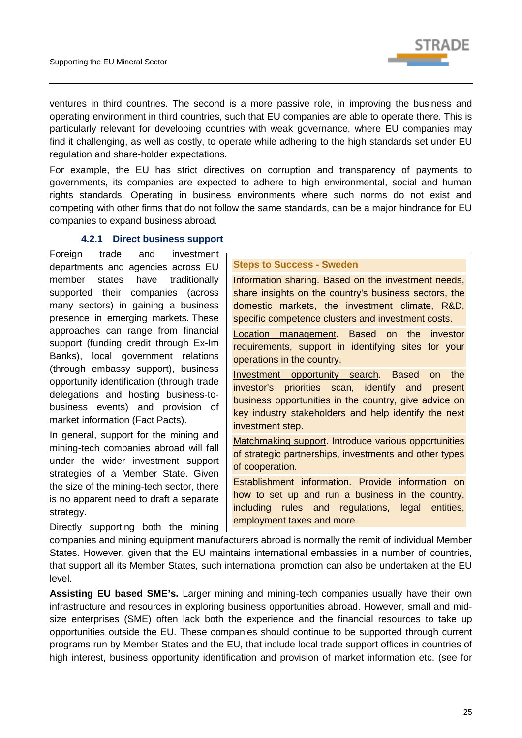

ventures in third countries. The second is a more passive role, in improving the business and operating environment in third countries, such that EU companies are able to operate there. This is particularly relevant for developing countries with weak governance, where EU companies may find it challenging, as well as costly, to operate while adhering to the high standards set under EU regulation and share-holder expectations.

For example, the EU has strict directives on corruption and transparency of payments to governments, its companies are expected to adhere to high environmental, social and human rights standards. Operating in business environments where such norms do not exist and competing with other firms that do not follow the same standards, can be a major hindrance for EU companies to expand business abroad.

#### **4.2.1 Direct business support**

<span id="page-28-0"></span>Foreign trade and investment departments and agencies across EU member states have traditionally supported their companies (across many sectors) in gaining a business presence in emerging markets. These approaches can range from financial support (funding credit through Ex-Im Banks), local government relations (through embassy support), business opportunity identification (through trade delegations and hosting business-tobusiness events) and provision of market information (Fact Pacts).

In general, support for the mining and mining-tech companies abroad will fall under the wider investment support strategies of a Member State. Given the size of the mining-tech sector, there is no apparent need to draft a separate strategy.

Directly supporting both the mining

#### **Steps to Success - Sweden**

Information sharing. Based on the investment needs, share insights on the country's business sectors, the domestic markets, the investment climate, R&D, specific competence clusters and investment costs.

Location management. Based on the investor requirements, support in identifying sites for your operations in the country.

Investment opportunity search. Based on the investor's priorities scan, identify and present business opportunities in the country, give advice on key industry stakeholders and help identify the next investment step.

Matchmaking support. Introduce various opportunities of strategic partnerships, investments and other types of cooperation.

Establishment information. Provide information on how to set up and run a business in the country, including rules and regulations, legal entities, employment taxes and more.

companies and mining equipment manufacturers abroad is normally the remit of individual Member States. However, given that the EU maintains international embassies in a number of countries, that support all its Member States, such international promotion can also be undertaken at the EU level.

**Assisting EU based SME's.** Larger mining and mining-tech companies usually have their own infrastructure and resources in exploring business opportunities abroad. However, small and midsize enterprises (SME) often lack both the experience and the financial resources to take up opportunities outside the EU. These companies should continue to be supported through current programs run by Member States and the EU, that include local trade support offices in countries of high interest, business opportunity identification and provision of market information etc. (see for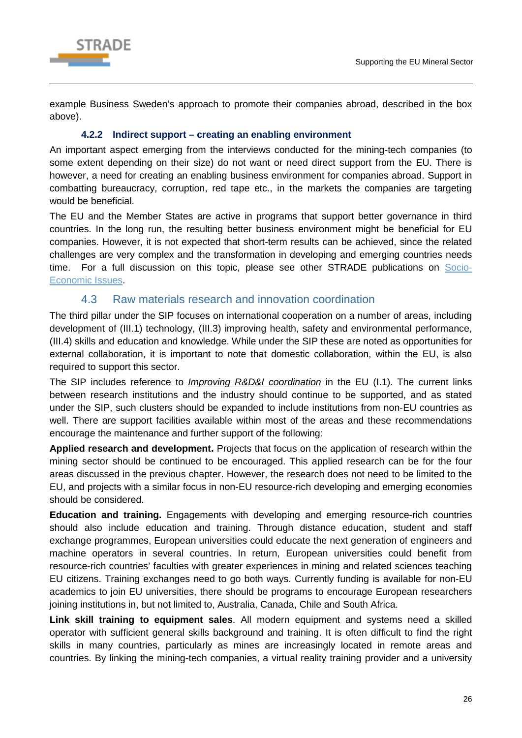

example Business Sweden's approach to promote their companies abroad, described in the box above).

### **4.2.2 Indirect support – creating an enabling environment**

<span id="page-29-0"></span>An important aspect emerging from the interviews conducted for the mining-tech companies (to some extent depending on their size) do not want or need direct support from the EU. There is however, a need for creating an enabling business environment for companies abroad. Support in combatting bureaucracy, corruption, red tape etc., in the markets the companies are targeting would be beneficial.

The EU and the Member States are active in programs that support better governance in third countries. In the long run, the resulting better business environment might be beneficial for EU companies. However, it is not expected that short-term results can be achieved, since the related challenges are very complex and the transformation in developing and emerging countries needs time. For a full discussion on this topic, please see other STRADE publications on [Socio-](http://stradeproject.eu/index.php?id=37)[Economic Issues.](http://stradeproject.eu/index.php?id=37)

# 4.3 Raw materials research and innovation coordination

<span id="page-29-1"></span>The third pillar under the SIP focuses on international cooperation on a number of areas, including development of (III.1) technology, (III.3) improving health, safety and environmental performance, (III.4) skills and education and knowledge. While under the SIP these are noted as opportunities for external collaboration, it is important to note that domestic collaboration, within the EU, is also required to support this sector.

The SIP includes reference to *Improving R&D&I coordination* in the EU (I.1). The current links between research institutions and the industry should continue to be supported, and as stated under the SIP, such clusters should be expanded to include institutions from non-EU countries as well. There are support facilities available within most of the areas and these recommendations encourage the maintenance and further support of the following:

**Applied research and development.** Projects that focus on the application of research within the mining sector should be continued to be encouraged. This applied research can be for the four areas discussed in the previous chapter. However, the research does not need to be limited to the EU, and projects with a similar focus in non-EU resource-rich developing and emerging economies should be considered.

**Education and training.** Engagements with developing and emerging resource-rich countries should also include education and training. Through distance education, student and staff exchange programmes, European universities could educate the next generation of engineers and machine operators in several countries. In return, European universities could benefit from resource-rich countries' faculties with greater experiences in mining and related sciences teaching EU citizens. Training exchanges need to go both ways. Currently funding is available for non-EU academics to join EU universities, there should be programs to encourage European researchers joining institutions in, but not limited to, Australia, Canada, Chile and South Africa.

**Link skill training to equipment sales**. All modern equipment and systems need a skilled operator with sufficient general skills background and training. It is often difficult to find the right skills in many countries, particularly as mines are increasingly located in remote areas and countries. By linking the mining-tech companies, a virtual reality training provider and a university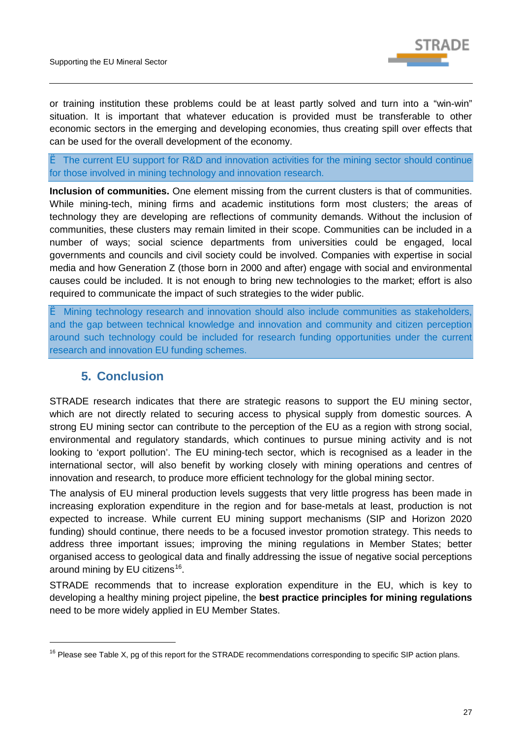

or training institution these problems could be at least partly solved and turn into a "win-win" situation. It is important that whatever education is provided must be transferable to other economic sectors in the emerging and developing economies, thus creating spill over effects that can be used for the overall development of the economy.

è The current EU support for R&D and innovation activities for the mining sector should continue for those involved in mining technology and innovation research.

**Inclusion of communities.** One element missing from the current clusters is that of communities. While mining-tech, mining firms and academic institutions form most clusters; the areas of technology they are developing are reflections of community demands. Without the inclusion of communities, these clusters may remain limited in their scope. Communities can be included in a number of ways; social science departments from universities could be engaged, local governments and councils and civil society could be involved. Companies with expertise in social media and how Generation Z (those born in 2000 and after) engage with social and environmental causes could be included. It is not enough to bring new technologies to the market; effort is also required to communicate the impact of such strategies to the wider public.

è Mining technology research and innovation should also include communities as stakeholders, and the gap between technical knowledge and innovation and community and citizen perception around such technology could be included for research funding opportunities under the current research and innovation EU funding schemes.

# <span id="page-30-0"></span>**5. Conclusion**

-

STRADE research indicates that there are strategic reasons to support the EU mining sector, which are not directly related to securing access to physical supply from domestic sources. A strong EU mining sector can contribute to the perception of the EU as a region with strong social, environmental and regulatory standards, which continues to pursue mining activity and is not looking to 'export pollution'. The EU mining-tech sector, which is recognised as a leader in the international sector, will also benefit by working closely with mining operations and centres of innovation and research, to produce more efficient technology for the global mining sector.

The analysis of EU mineral production levels suggests that very little progress has been made in increasing exploration expenditure in the region and for base-metals at least, production is not expected to increase. While current EU mining support mechanisms (SIP and Horizon 2020 funding) should continue, there needs to be a focused investor promotion strategy. This needs to address three important issues; improving the mining regulations in Member States; better organised access to geological data and finally addressing the issue of negative social perceptions around mining by EU citizens<sup>[16](#page-30-1)</sup>.

STRADE recommends that to increase exploration expenditure in the EU, which is key to developing a healthy mining project pipeline, the **best practice principles for mining regulations** need to be more widely applied in EU Member States.

<span id="page-30-1"></span><sup>&</sup>lt;sup>16</sup> Please see Table X, pg of this report for the STRADE recommendations corresponding to specific SIP action plans.